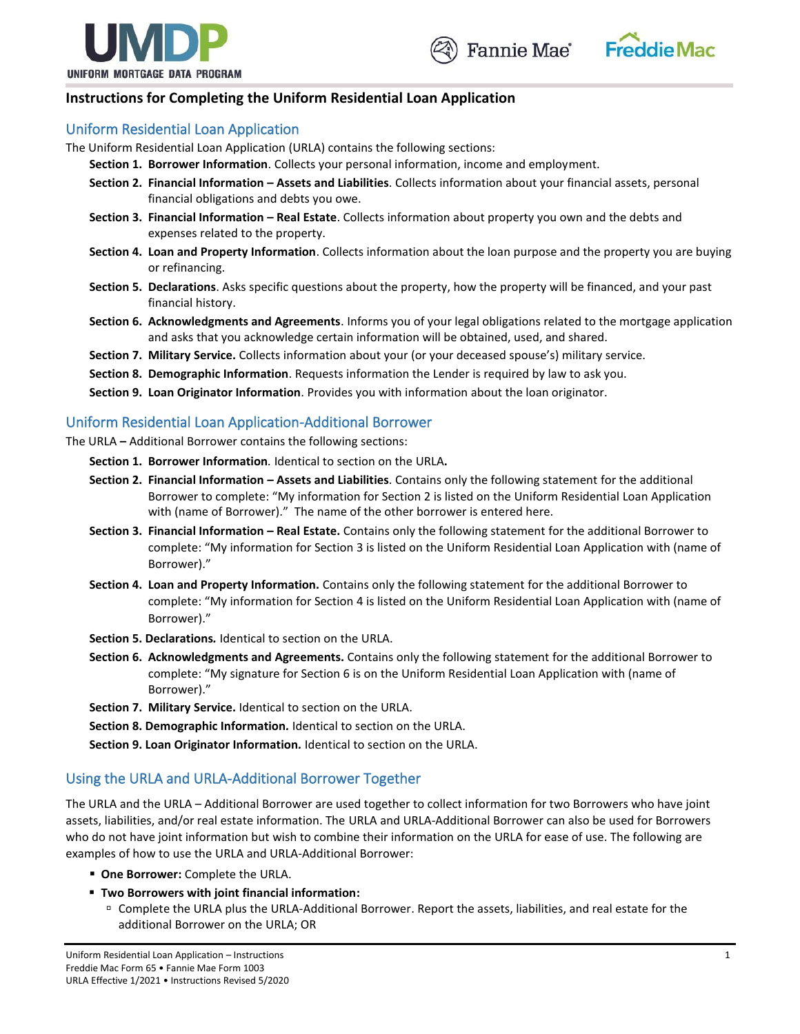





## **Instructions for Completing the Uniform Residential Loan Application**

### Uniform Residential Loan Application

- The Uniform Residential Loan Application (URLA) contains the following sections:
	- **Section 1. Borrower Information**. Collects your personal information, income and employment.
		- **Section 2. Financial Information – Assets and Liabilities**. Collects information about your financial assets, personal financial obligations and debts you owe.
		- **Section 3. Financial Information – Real Estate**. Collects information about property you own and the debts and expenses related to the property.
		- **Section 4. Loan and Property Information**. Collects information about the loan purpose and the property you are buying or refinancing.
		- **Section 5. Declarations**. Asks specific questions about the property, how the property will be financed, and your past financial history.
		- **Section 6. Acknowledgments and Agreements**. Informs you of your legal obligations related to the mortgage application and asks that you acknowledge certain information will be obtained, used, and shared.
		- **Section 7. Military Service.** Collects information about your (or your deceased spouse's) military service.
		- **Section 8. Demographic Information**. Requests information the Lender is required by law to ask you.
		- **Section 9. Loan Originator Information**. Provides you with information about the loan originator.

### Uniform Residential Loan Application-Additional Borrower

The URLA **–** Additional Borrower contains the following sections:

**Section 1. Borrower Information***.* Identical to section on the URLA**.**

- **Section 2. Financial Information** *–* **Assets and Liabilities**. Contains only the following statement for the additional Borrower to complete: "My information for Section 2 is listed on the Uniform Residential Loan Application with (name of Borrower)." The name of the other borrower is entered here.
- **Section 3. Financial Information – Real Estate.** Contains only the following statement for the additional Borrower to complete: "My information for Section 3 is listed on the Uniform Residential Loan Application with (name of Borrower)."
- **Section 4. Loan and Property Information.** Contains only the following statement for the additional Borrower to complete: "My information for Section 4 is listed on the Uniform Residential Loan Application with (name of Borrower)."
- **Section 5. Declarations***.* Identical to section on the URLA.
- **Section 6. Acknowledgments and Agreements.** Contains only the following statement for the additional Borrower to complete: "My signature for Section 6 is on the Uniform Residential Loan Application with (name of Borrower)."
- **Section 7. Military Service.** Identical to section on the URLA.
- **Section 8. Demographic Information***.* Identical to section on the URLA.

**Section 9. Loan Originator Information***.* Identical to section on the URLA.

### Using the URLA and URLA-Additional Borrower Together

The URLA and the URLA – Additional Borrower are used together to collect information for two Borrowers who have joint assets, liabilities, and/or real estate information. The URLA and URLA-Additional Borrower can also be used for Borrowers who do not have joint information but wish to combine their information on the URLA for ease of use. The following are examples of how to use the URLA and URLA-Additional Borrower:

- **One Borrower:** Complete the URLA.
- **Two Borrowers with joint financial information:**
	- Complete the URLA plus the URLA-Additional Borrower. Report the assets, liabilities, and real estate for the additional Borrower on the URLA; OR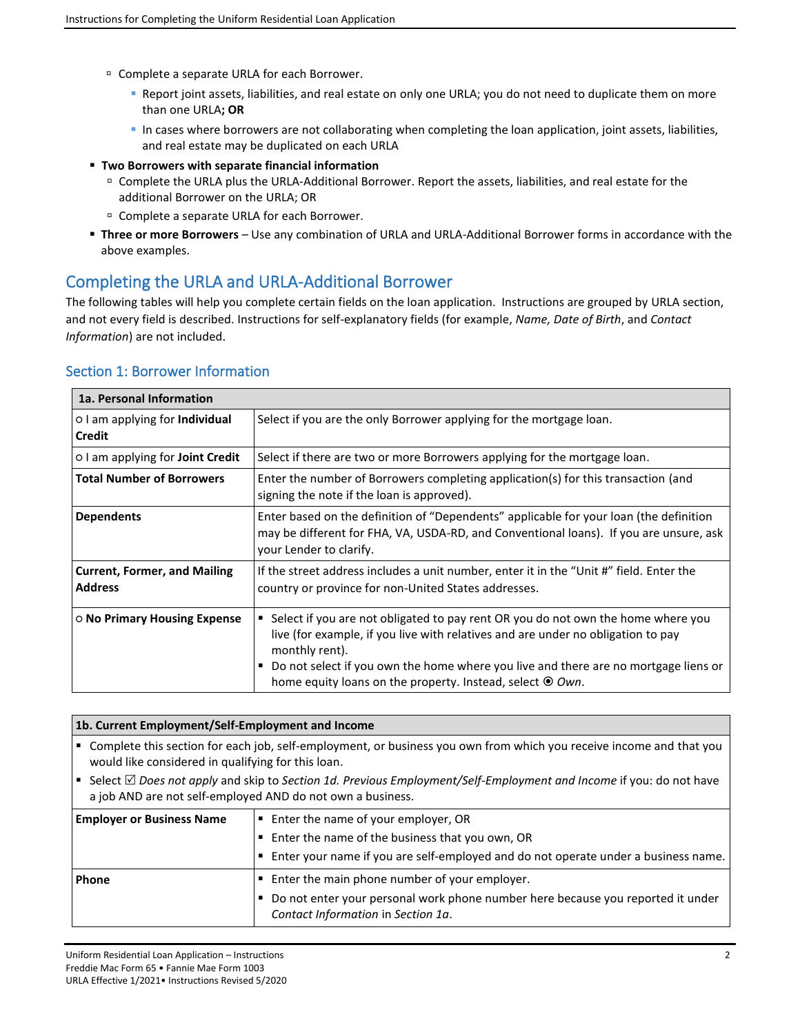- □ Complete a separate URLA for each Borrower.
	- Report joint assets, liabilities, and real estate on only one URLA; you do not need to duplicate them on more than one URLA**; OR**
	- In cases where borrowers are not collaborating when completing the loan application, joint assets, liabilities, and real estate may be duplicated on each URLA
- **Two Borrowers with separate financial information**
	- Complete the URLA plus the URLA-Additional Borrower. Report the assets, liabilities, and real estate for the additional Borrower on the URLA; OR
	- □ Complete a separate URLA for each Borrower.
- **Three or more Borrowers** *–* Use any combination of URLA and URLA-Additional Borrower forms in accordance with the above examples.

## Completing the URLA and URLA-Additional Borrower

The following tables will help you complete certain fields on the loan application. Instructions are grouped by URLA section, and not every field is described. Instructions for self-explanatory fields (for example, *Name, Date of Birth*, and *Contact Information*) are not included.

| 1a. Personal Information                               |                                                                                                                                                                                                                                                                                                                                                       |
|--------------------------------------------------------|-------------------------------------------------------------------------------------------------------------------------------------------------------------------------------------------------------------------------------------------------------------------------------------------------------------------------------------------------------|
| o I am applying for <b>Individual</b><br><b>Credit</b> | Select if you are the only Borrower applying for the mortgage loan.                                                                                                                                                                                                                                                                                   |
| o I am applying for <b>Joint Credit</b>                | Select if there are two or more Borrowers applying for the mortgage loan.                                                                                                                                                                                                                                                                             |
| <b>Total Number of Borrowers</b>                       | Enter the number of Borrowers completing application(s) for this transaction (and<br>signing the note if the loan is approved).                                                                                                                                                                                                                       |
| <b>Dependents</b>                                      | Enter based on the definition of "Dependents" applicable for your loan (the definition<br>may be different for FHA, VA, USDA-RD, and Conventional loans). If you are unsure, ask<br>your Lender to clarify.                                                                                                                                           |
| <b>Current, Former, and Mailing</b><br><b>Address</b>  | If the street address includes a unit number, enter it in the "Unit #" field. Enter the<br>country or province for non-United States addresses.                                                                                                                                                                                                       |
| ○ No Primary Housing Expense                           | Select if you are not obligated to pay rent OR you do not own the home where you<br>live (for example, if you live with relatives and are under no obligation to pay<br>monthly rent).<br>Do not select if you own the home where you live and there are no mortgage liens or<br>п<br>home equity loans on the property. Instead, select $\odot$ Own. |

### Section 1: Borrower Information

" Complete this section for each job, self-employment, or business you own from which you receive income and that you would like considered in qualifying for this loan.

■ Select *△ Does not apply* **and skip to Section 1d. Previous Employment/Self-Employment and Income if you: do not have** a job AND are not self-employed AND do not own a business.

| <b>Employer or Business Name</b> | ■ Enter the name of your employer, OR                                                                                 |
|----------------------------------|-----------------------------------------------------------------------------------------------------------------------|
|                                  | ■ Enter the name of the business that you own, OR                                                                     |
|                                  | $\vert$ . Enter your name if you are self-employed and do not operate under a business name.                          |
| <b>Phone</b>                     | ■ Enter the main phone number of your employer.                                                                       |
|                                  | Do not enter your personal work phone number here because you reported it under<br>Contact Information in Section 1a. |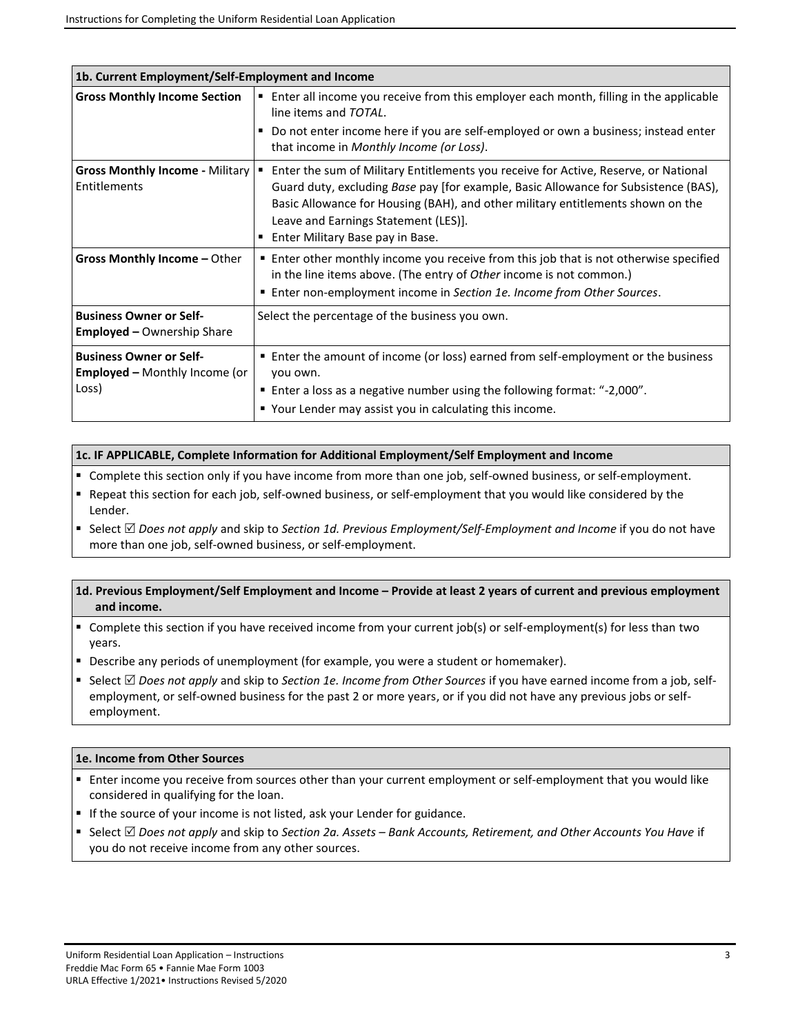| 1b. Current Employment/Self-Employment and Income                               |                                                                                                                                                                                                                                                                                                                                           |
|---------------------------------------------------------------------------------|-------------------------------------------------------------------------------------------------------------------------------------------------------------------------------------------------------------------------------------------------------------------------------------------------------------------------------------------|
| <b>Gross Monthly Income Section</b>                                             | ■ Enter all income you receive from this employer each month, filling in the applicable<br>line items and TOTAL.                                                                                                                                                                                                                          |
|                                                                                 | Do not enter income here if you are self-employed or own a business; instead enter<br>that income in Monthly Income (or Loss).                                                                                                                                                                                                            |
| <b>Gross Monthly Income - Military  </b><br>Entitlements                        | Enter the sum of Military Entitlements you receive for Active, Reserve, or National<br>Guard duty, excluding Base pay [for example, Basic Allowance for Subsistence (BAS),<br>Basic Allowance for Housing (BAH), and other military entitlements shown on the<br>Leave and Earnings Statement (LES)].<br>Enter Military Base pay in Base. |
| Gross Monthly Income - Other                                                    | ■ Enter other monthly income you receive from this job that is not otherwise specified<br>in the line items above. (The entry of Other income is not common.)<br>■ Enter non-employment income in Section 1e. Income from Other Sources.                                                                                                  |
| <b>Business Owner or Self-</b><br><b>Employed – Ownership Share</b>             | Select the percentage of the business you own.                                                                                                                                                                                                                                                                                            |
| <b>Business Owner or Self-</b><br><b>Employed - Monthly Income (or</b><br>Loss) | ■ Enter the amount of income (or loss) earned from self-employment or the business<br>you own.<br>■ Enter a loss as a negative number using the following format: "-2,000".<br>■ Your Lender may assist you in calculating this income.                                                                                                   |

### **1c. IF APPLICABLE, Complete Information for Additional Employment/Self Employment and Income**

- Complete this section only if you have income from more than one job, self-owned business, or self-employment.
- Repeat this section for each job, self-owned business, or self-employment that you would like considered by the Lender.
- Select *D* Does not apply and skip to *Section 1d. Previous Employment/Self-Employment and Income* if you do not have more than one job, self-owned business, or self-employment.

### **1d. Previous Employment/Self Employment and Income – Provide at least 2 years of current and previous employment and income.**

- Complete this section if you have received income from your current job(s) or self-employment(s) for less than two years.
- Describe any periods of unemployment (for example, you were a student or homemaker).
- Select *D* Does not apply and skip to *Section 1e. Income from Other Sources* if you have earned income from a job, selfemployment, or self-owned business for the past 2 or more years, or if you did not have any previous jobs or selfemployment.

### **1e. Income from Other Sources**

- Enter income you receive from sources other than your current employment or self-employment that you would like considered in qualifying for the loan.
- If the source of your income is not listed, ask your Lender for guidance.
- Select *△ Does not apply* **and skip to Section 2a. Assets Bank Accounts, Retirement, and Other Accounts You Have if** you do not receive income from any other sources.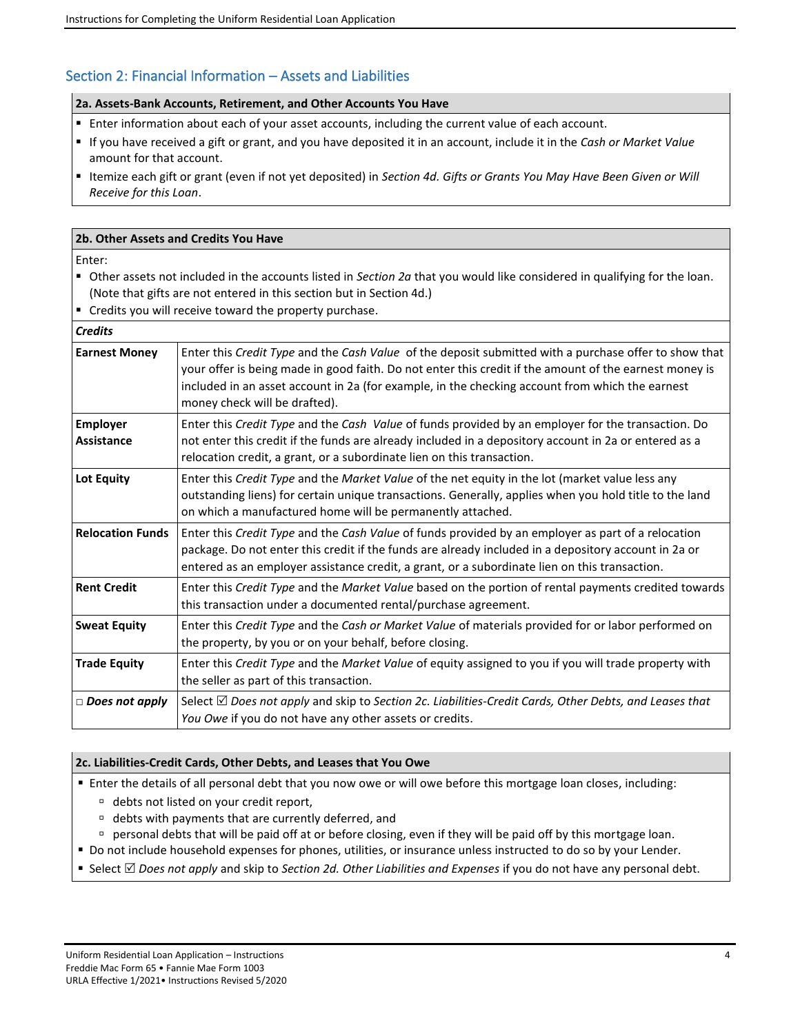## Section 2: Financial Information – Assets and Liabilities

### **2a. Assets-Bank Accounts, Retirement, and Other Accounts You Have**

- **Enter information about each of your asset accounts, including the current value of each account.**
- If you have received a gift or grant, and you have deposited it in an account, include it in the *Cash or Market Value* amount for that account.
- Itemize each gift or grant (even if not yet deposited) in *Section 4d. Gifts or Grants You May Have Been Given or Will Receive for this Loan*.

### **2b. Other Assets and Credits You Have**

Enter:

- Other assets not included in the accounts listed in *Section 2a* that you would like considered in qualifying for the loan. (Note that gifts are not entered in this section but in Section 4d.)
- Credits you will receive toward the property purchase.

| <b>Credits</b>                |                                                                                                                                                                                                                                                                                                                                                     |
|-------------------------------|-----------------------------------------------------------------------------------------------------------------------------------------------------------------------------------------------------------------------------------------------------------------------------------------------------------------------------------------------------|
| <b>Earnest Money</b>          | Enter this Credit Type and the Cash Value of the deposit submitted with a purchase offer to show that<br>your offer is being made in good faith. Do not enter this credit if the amount of the earnest money is<br>included in an asset account in 2a (for example, in the checking account from which the earnest<br>money check will be drafted). |
| <b>Employer</b><br>Assistance | Enter this Credit Type and the Cash Value of funds provided by an employer for the transaction. Do<br>not enter this credit if the funds are already included in a depository account in 2a or entered as a<br>relocation credit, a grant, or a subordinate lien on this transaction.                                                               |
| <b>Lot Equity</b>             | Enter this Credit Type and the Market Value of the net equity in the lot (market value less any<br>outstanding liens) for certain unique transactions. Generally, applies when you hold title to the land<br>on which a manufactured home will be permanently attached.                                                                             |
| <b>Relocation Funds</b>       | Enter this Credit Type and the Cash Value of funds provided by an employer as part of a relocation<br>package. Do not enter this credit if the funds are already included in a depository account in 2a or<br>entered as an employer assistance credit, a grant, or a subordinate lien on this transaction.                                         |
| <b>Rent Credit</b>            | Enter this Credit Type and the Market Value based on the portion of rental payments credited towards<br>this transaction under a documented rental/purchase agreement.                                                                                                                                                                              |
| <b>Sweat Equity</b>           | Enter this Credit Type and the Cash or Market Value of materials provided for or labor performed on<br>the property, by you or on your behalf, before closing.                                                                                                                                                                                      |
| <b>Trade Equity</b>           | Enter this Credit Type and the Market Value of equity assigned to you if you will trade property with<br>the seller as part of this transaction.                                                                                                                                                                                                    |
| $\Box$ Does not apply         | Select ⊠ Does not apply and skip to Section 2c. Liabilities-Credit Cards, Other Debts, and Leases that<br>You Owe if you do not have any other assets or credits.                                                                                                                                                                                   |

### **2c. Liabilities-Credit Cards, Other Debts, and Leases that You Owe**

▪ Enter the details of all personal debt that you now owe or will owe before this mortgage loan closes, including:

- <sup>n</sup> debts not listed on your credit report,
- debts with payments that are currently deferred, and
- personal debts that will be paid off at or before closing, even if they will be paid off by this mortgage loan.
- Do not include household expenses for phones, utilities, or insurance unless instructed to do so by your Lender.
- Select *Does not apply* **and skip to** *Section 2d. Other Liabilities and Expenses* **if you do not have any personal debt.**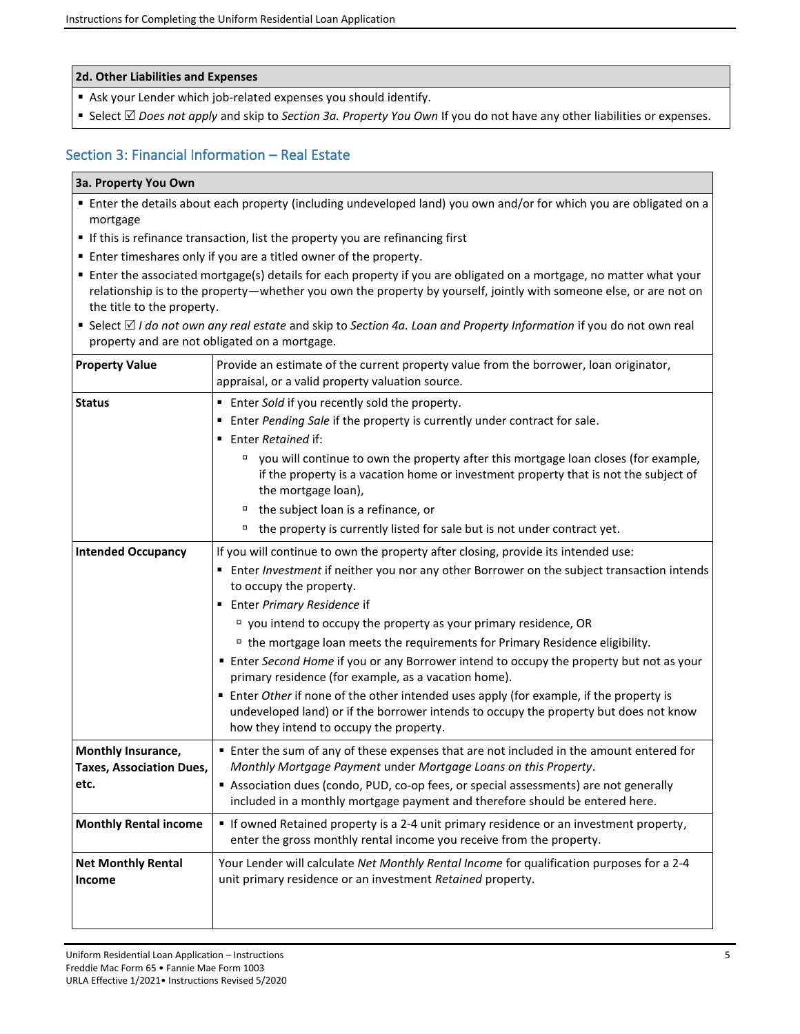#### **2d. Other Liabilities and Expenses**

- Ask your Lender which job-related expenses you should identify.
- Select *Does not apply* **and skip to** *Section 3a. Property You Own* **If you do not have any other liabilities or expenses.**

## Section 3: Financial Information – Real Estate

#### **3a. Property You Own**

- Enter the details about each property (including undeveloped land) you own and/or for which you are obligated on a mortgage
- **If this is refinance transaction, list the property you are refinancing first**
- Enter timeshares only if you are a titled owner of the property.
- Enter the associated mortgage(s) details for each property if you are obligated on a mortgage, no matter what your relationship is to the property—whether you own the property by yourself, jointly with someone else, or are not on the title to the property.
- Select *II do not own any real estate* and skip to *Section 4a. Loan and Property Information* if you do not own real property and are not obligated on a mortgage.

| <b>Property Value</b>                                                                         | Provide an estimate of the current property value from the borrower, loan originator,<br>appraisal, or a valid property valuation source.                                                                                                                                                                                                                                                                                                                                                                                                                                                                                                                                                                                                                                                                 |
|-----------------------------------------------------------------------------------------------|-----------------------------------------------------------------------------------------------------------------------------------------------------------------------------------------------------------------------------------------------------------------------------------------------------------------------------------------------------------------------------------------------------------------------------------------------------------------------------------------------------------------------------------------------------------------------------------------------------------------------------------------------------------------------------------------------------------------------------------------------------------------------------------------------------------|
| <b>Status</b>                                                                                 | ■ Enter Sold if you recently sold the property.<br>Enter Pending Sale if the property is currently under contract for sale.<br>■ Enter Retained if:<br>□ you will continue to own the property after this mortgage loan closes (for example,<br>if the property is a vacation home or investment property that is not the subject of<br>the mortgage loan),<br><sup>D</sup> the subject loan is a refinance, or<br>the property is currently listed for sale but is not under contract yet.<br>σ                                                                                                                                                                                                                                                                                                          |
| <b>Intended Occupancy</b>                                                                     | If you will continue to own the property after closing, provide its intended use:<br>■ Enter Investment if neither you nor any other Borrower on the subject transaction intends<br>to occupy the property.<br>■ Enter Primary Residence if<br>$\Box$ you intend to occupy the property as your primary residence, OR<br><sup>D</sup> the mortgage loan meets the requirements for Primary Residence eligibility.<br>" Enter Second Home if you or any Borrower intend to occupy the property but not as your<br>primary residence (for example, as a vacation home).<br><b>Enter Other if none of the other intended uses apply (for example, if the property is</b><br>undeveloped land) or if the borrower intends to occupy the property but does not know<br>how they intend to occupy the property. |
| Monthly Insurance,<br><b>Taxes, Association Dues,</b><br>etc.<br><b>Monthly Rental income</b> | " Enter the sum of any of these expenses that are not included in the amount entered for<br>Monthly Mortgage Payment under Mortgage Loans on this Property.<br>Association dues (condo, PUD, co-op fees, or special assessments) are not generally<br>included in a monthly mortgage payment and therefore should be entered here.<br>" If owned Retained property is a 2-4 unit primary residence or an investment property,                                                                                                                                                                                                                                                                                                                                                                             |
| <b>Net Monthly Rental</b><br>Income                                                           | enter the gross monthly rental income you receive from the property.<br>Your Lender will calculate Net Monthly Rental Income for qualification purposes for a 2-4<br>unit primary residence or an investment Retained property.                                                                                                                                                                                                                                                                                                                                                                                                                                                                                                                                                                           |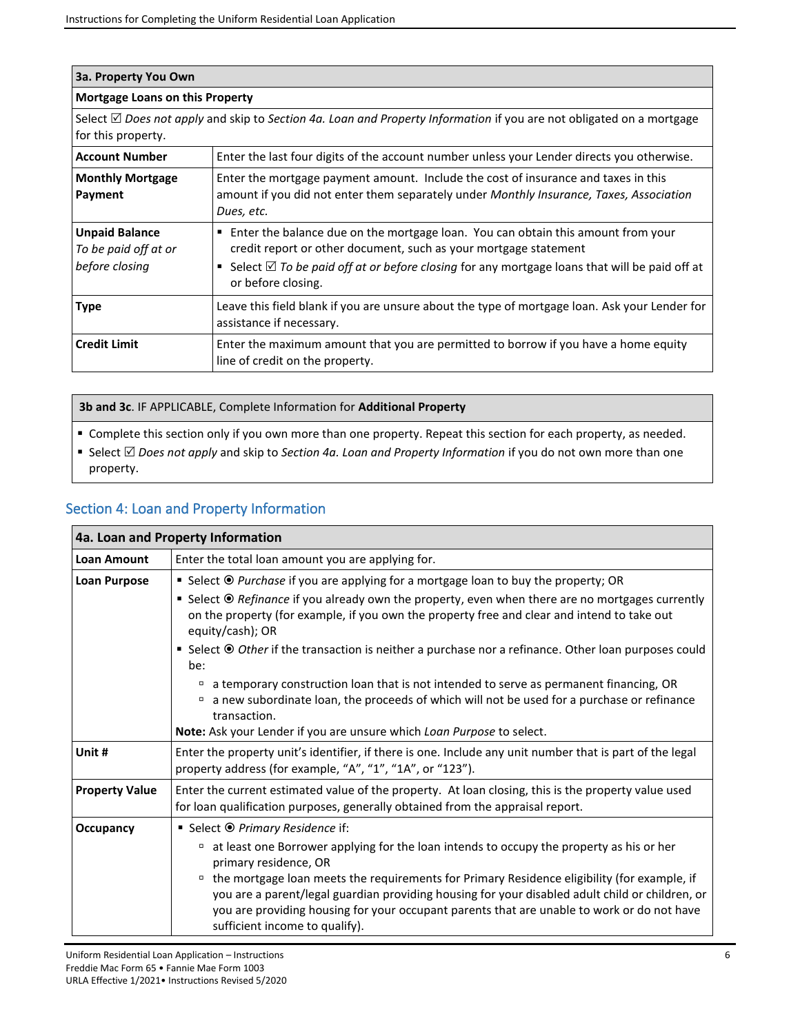| 3a. Property You Own                                            |                                                                                                                                                                                                                                                                                                |  |
|-----------------------------------------------------------------|------------------------------------------------------------------------------------------------------------------------------------------------------------------------------------------------------------------------------------------------------------------------------------------------|--|
| Mortgage Loans on this Property                                 |                                                                                                                                                                                                                                                                                                |  |
| for this property.                                              | Select $\boxtimes$ Does not apply and skip to Section 4a. Loan and Property Information if you are not obligated on a mortgage                                                                                                                                                                 |  |
| <b>Account Number</b>                                           | Enter the last four digits of the account number unless your Lender directs you otherwise.                                                                                                                                                                                                     |  |
| <b>Monthly Mortgage</b><br>Payment                              | Enter the mortgage payment amount. Include the cost of insurance and taxes in this<br>amount if you did not enter them separately under Monthly Insurance, Taxes, Association<br>Dues, etc.                                                                                                    |  |
| <b>Unpaid Balance</b><br>To be paid off at or<br>before closing | Enter the balance due on the mortgage loan. You can obtain this amount from your<br>٠<br>credit report or other document, such as your mortgage statement<br>Select $\boxtimes$ To be paid off at or before closing for any mortgage loans that will be paid off at<br>٠<br>or before closing. |  |
| <b>Type</b>                                                     | Leave this field blank if you are unsure about the type of mortgage loan. Ask your Lender for<br>assistance if necessary.                                                                                                                                                                      |  |
| <b>Credit Limit</b>                                             | Enter the maximum amount that you are permitted to borrow if you have a home equity<br>line of credit on the property.                                                                                                                                                                         |  |

**3b and 3c**. IF APPLICABLE, Complete Information for **Additional Property**

■ Complete this section only if you own more than one property. Repeat this section for each property, as needed.

■ Select *Does not apply* **and skip to** *Section 4a. Loan and Property Information* **if you do not own more than one** property.

## Section 4: Loan and Property Information

|                       | 4a. Loan and Property Information                                                                                                                                                                                               |  |
|-----------------------|---------------------------------------------------------------------------------------------------------------------------------------------------------------------------------------------------------------------------------|--|
| <b>Loan Amount</b>    | Enter the total loan amount you are applying for.                                                                                                                                                                               |  |
| <b>Loan Purpose</b>   | ■ Select <sup>●</sup> <i>Purchase</i> if you are applying for a mortgage loan to buy the property; OR                                                                                                                           |  |
|                       | ■ Select <sup>®</sup> Refinance if you already own the property, even when there are no mortgages currently<br>on the property (for example, if you own the property free and clear and intend to take out<br>equity/cash); OR  |  |
|                       | ■ Select <sup>●</sup> Other if the transaction is neither a purchase nor a refinance. Other loan purposes could<br>be:                                                                                                          |  |
|                       | a temporary construction loan that is not intended to serve as permanent financing, OR<br>α<br>a new subordinate loan, the proceeds of which will not be used for a purchase or refinance<br>transaction.                       |  |
|                       | Note: Ask your Lender if you are unsure which Loan Purpose to select.                                                                                                                                                           |  |
| Unit #                | Enter the property unit's identifier, if there is one. Include any unit number that is part of the legal<br>property address (for example, "A", "1", "1A", or "123").                                                           |  |
| <b>Property Value</b> | Enter the current estimated value of the property. At loan closing, this is the property value used<br>for loan qualification purposes, generally obtained from the appraisal report.                                           |  |
| Occupancy             | ■ Select <sup>●</sup> Primary Residence if:                                                                                                                                                                                     |  |
|                       | at least one Borrower applying for the loan intends to occupy the property as his or her<br>primary residence, OR<br>the mortgage loan meets the requirements for Primary Residence eligibility (for example, if<br>$\Box$      |  |
|                       | you are a parent/legal guardian providing housing for your disabled adult child or children, or<br>you are providing housing for your occupant parents that are unable to work or do not have<br>sufficient income to qualify). |  |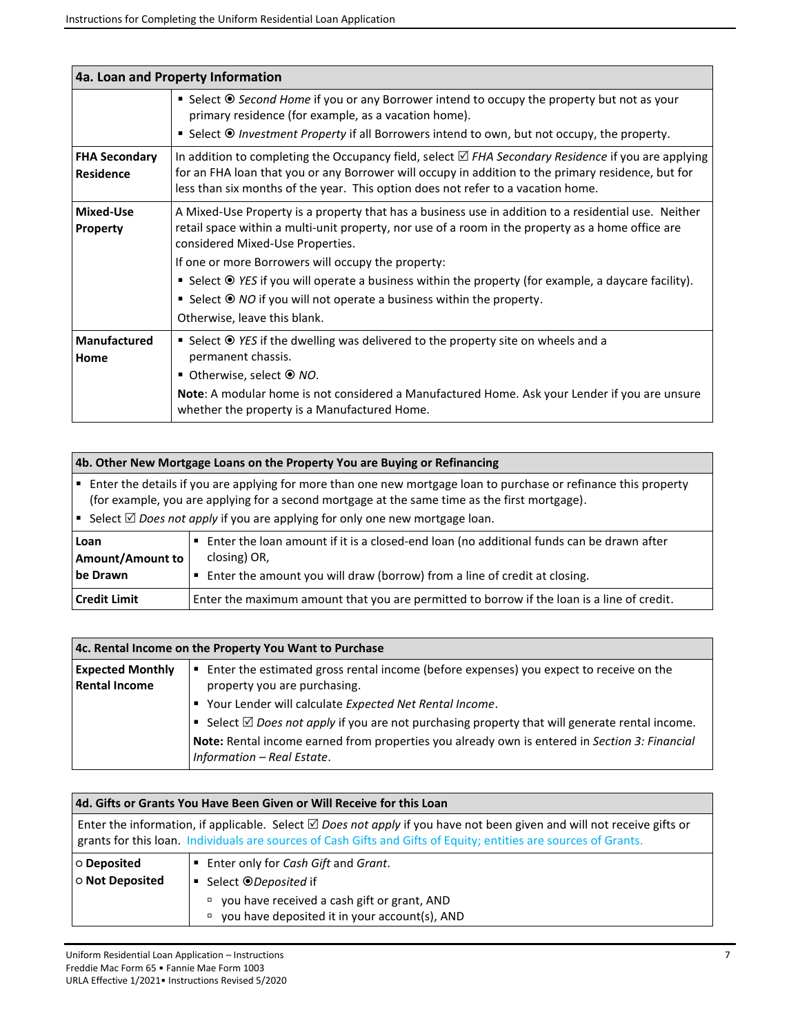|                                          | 4a. Loan and Property Information                                                                                                                                                                                                                                                                                                                                                                                                                                                                                                     |  |
|------------------------------------------|---------------------------------------------------------------------------------------------------------------------------------------------------------------------------------------------------------------------------------------------------------------------------------------------------------------------------------------------------------------------------------------------------------------------------------------------------------------------------------------------------------------------------------------|--|
|                                          | ■ Select <sup>●</sup> Second Home if you or any Borrower intend to occupy the property but not as your<br>primary residence (for example, as a vacation home).<br><b>Select <math>\odot</math> Investment Property if all Borrowers intend to own, but not occupy, the property.</b>                                                                                                                                                                                                                                                  |  |
| <b>FHA Secondary</b><br><b>Residence</b> | In addition to completing the Occupancy field, select $\boxtimes$ FHA Secondary Residence if you are applying<br>for an FHA loan that you or any Borrower will occupy in addition to the primary residence, but for<br>less than six months of the year. This option does not refer to a vacation home.                                                                                                                                                                                                                               |  |
| <b>Mixed-Use</b><br>Property             | A Mixed-Use Property is a property that has a business use in addition to a residential use. Neither<br>retail space within a multi-unit property, nor use of a room in the property as a home office are<br>considered Mixed-Use Properties.<br>If one or more Borrowers will occupy the property:<br>■ Select <sup>●</sup> YES if you will operate a business within the property (for example, a daycare facility).<br>■ Select $\odot$ NO if you will not operate a business within the property.<br>Otherwise, leave this blank. |  |
| <b>Manufactured</b><br>Home              | ■ Select <sup>©</sup> YES if the dwelling was delivered to the property site on wheels and a<br>permanent chassis.<br>■ Otherwise, select $\odot$ NO.<br>Note: A modular home is not considered a Manufactured Home. Ask your Lender if you are unsure<br>whether the property is a Manufactured Home.                                                                                                                                                                                                                                |  |

|                                                                                                                                                                                                                                                                                                                       | 4b. Other New Mortgage Loans on the Property You are Buying or Refinancing                                                                                                            |  |
|-----------------------------------------------------------------------------------------------------------------------------------------------------------------------------------------------------------------------------------------------------------------------------------------------------------------------|---------------------------------------------------------------------------------------------------------------------------------------------------------------------------------------|--|
| Enter the details if you are applying for more than one new mortgage loan to purchase or refinance this property<br>(∎ i<br>(for example, you are applying for a second mortgage at the same time as the first mortgage).<br> ■ Select $\boxtimes$ Does not apply if you are applying for only one new mortgage loan. |                                                                                                                                                                                       |  |
| Loan<br><b>Amount/Amount to</b><br>be Drawn                                                                                                                                                                                                                                                                           | Enter the loan amount if it is a closed-end loan (no additional funds can be drawn after<br>closing) OR,<br>Enter the amount you will draw (borrow) from a line of credit at closing. |  |
| <b>Credit Limit</b>                                                                                                                                                                                                                                                                                                   | Enter the maximum amount that you are permitted to borrow if the loan is a line of credit.                                                                                            |  |

| 4c. Rental Income on the Property You Want to Purchase |                                                                                                                             |
|--------------------------------------------------------|-----------------------------------------------------------------------------------------------------------------------------|
| <b>Expected Monthly</b><br><b>Rental Income</b>        | Enter the estimated gross rental income (before expenses) you expect to receive on the<br>property you are purchasing.      |
|                                                        | Your Lender will calculate Expected Net Rental Income.                                                                      |
|                                                        | Select $\boxtimes$ Does not apply if you are not purchasing property that will generate rental income.                      |
|                                                        | Note: Rental income earned from properties you already own is entered in Section 3: Financial<br>Information - Real Estate. |

| 4d. Gifts or Grants You Have Been Given or Will Receive for this Loan<br>Enter the information, if applicable. Select $\boxtimes$ Does not apply if you have not been given and will not receive gifts or<br>grants for this loan. Individuals are sources of Cash Gifts and Gifts of Equity; entities are sources of Grants. |  |
|-------------------------------------------------------------------------------------------------------------------------------------------------------------------------------------------------------------------------------------------------------------------------------------------------------------------------------|--|
|                                                                                                                                                                                                                                                                                                                               |  |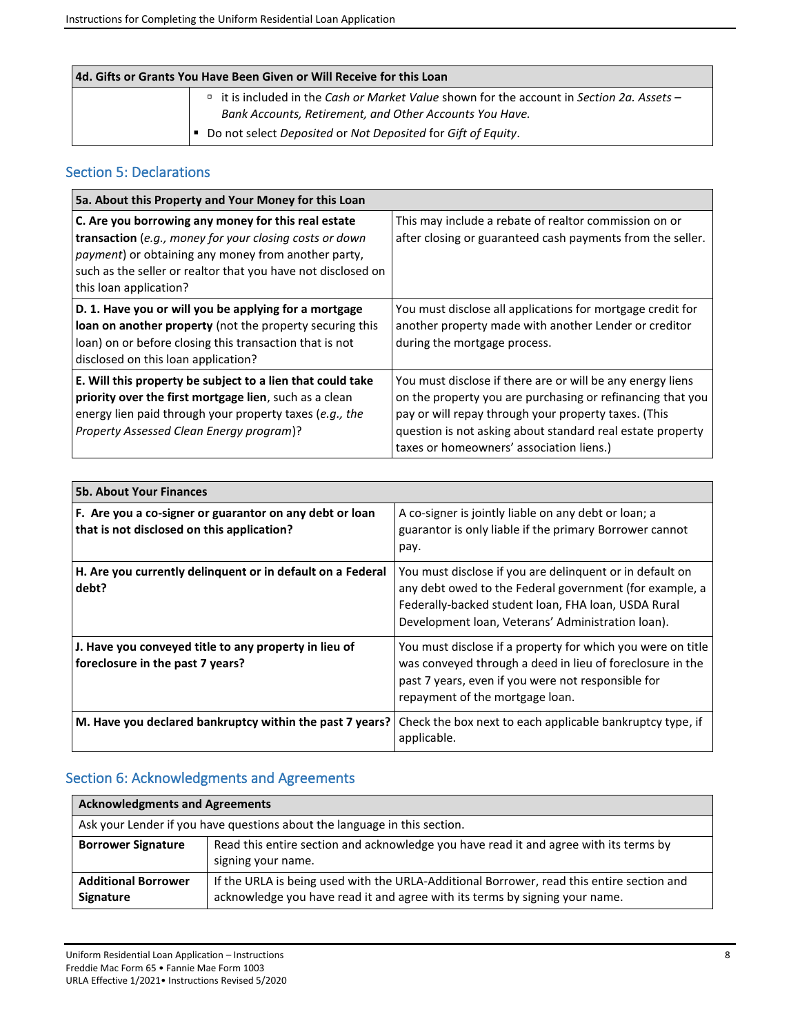| 4d. Gifts or Grants You Have Been Given or Will Receive for this Loan |                                                                                                                            |
|-----------------------------------------------------------------------|----------------------------------------------------------------------------------------------------------------------------|
|                                                                       | $\overline{a}$ it is included in the Cash or Market Value shown for the account in Section 2a. Assets –                    |
|                                                                       | Bank Accounts, Retirement, and Other Accounts You Have.<br> ■ Do not select Deposited or Not Deposited for Gift of Equity. |
|                                                                       |                                                                                                                            |

## Section 5: Declarations

| 5a. About this Property and Your Money for this Loan                                                                                                                                                                                                                    |                                                                                                                                                                                                                                                                                            |
|-------------------------------------------------------------------------------------------------------------------------------------------------------------------------------------------------------------------------------------------------------------------------|--------------------------------------------------------------------------------------------------------------------------------------------------------------------------------------------------------------------------------------------------------------------------------------------|
| C. Are you borrowing any money for this real estate<br>transaction (e.g., money for your closing costs or down<br><i>payment</i> ) or obtaining any money from another party,<br>such as the seller or realtor that you have not disclosed on<br>this loan application? | This may include a rebate of realtor commission on or<br>after closing or guaranteed cash payments from the seller.                                                                                                                                                                        |
| D. 1. Have you or will you be applying for a mortgage<br>loan on another property (not the property securing this<br>loan) on or before closing this transaction that is not<br>disclosed on this loan application?                                                     | You must disclose all applications for mortgage credit for<br>another property made with another Lender or creditor<br>during the mortgage process.                                                                                                                                        |
| E. Will this property be subject to a lien that could take<br>priority over the first mortgage lien, such as a clean<br>energy lien paid through your property taxes (e.g., the<br>Property Assessed Clean Energy program)?                                             | You must disclose if there are or will be any energy liens<br>on the property you are purchasing or refinancing that you<br>pay or will repay through your property taxes. (This<br>question is not asking about standard real estate property<br>taxes or homeowners' association liens.) |

| <b>5b. About Your Finances</b>                                                                        |                                                                                                                                                                                                                                 |
|-------------------------------------------------------------------------------------------------------|---------------------------------------------------------------------------------------------------------------------------------------------------------------------------------------------------------------------------------|
| F. Are you a co-signer or guarantor on any debt or loan<br>that is not disclosed on this application? | A co-signer is jointly liable on any debt or loan; a<br>guarantor is only liable if the primary Borrower cannot<br>pay.                                                                                                         |
| H. Are you currently delinguent or in default on a Federal<br>debt?                                   | You must disclose if you are delinquent or in default on<br>any debt owed to the Federal government (for example, a<br>Federally-backed student loan, FHA loan, USDA Rural<br>Development loan, Veterans' Administration loan). |
| J. Have you conveyed title to any property in lieu of<br>foreclosure in the past 7 years?             | You must disclose if a property for which you were on title<br>was conveyed through a deed in lieu of foreclosure in the<br>past 7 years, even if you were not responsible for<br>repayment of the mortgage loan.               |
| M. Have you declared bankruptcy within the past 7 years?                                              | Check the box next to each applicable bankruptcy type, if<br>applicable.                                                                                                                                                        |

# Section 6: Acknowledgments and Agreements

| <b>Acknowledgments and Agreements</b>                                     |                                                                                                                                                                          |
|---------------------------------------------------------------------------|--------------------------------------------------------------------------------------------------------------------------------------------------------------------------|
| Ask your Lender if you have questions about the language in this section. |                                                                                                                                                                          |
| <b>Borrower Signature</b>                                                 | Read this entire section and acknowledge you have read it and agree with its terms by<br>signing your name.                                                              |
| <b>Additional Borrower</b><br>Signature                                   | If the URLA is being used with the URLA-Additional Borrower, read this entire section and<br>acknowledge you have read it and agree with its terms by signing your name. |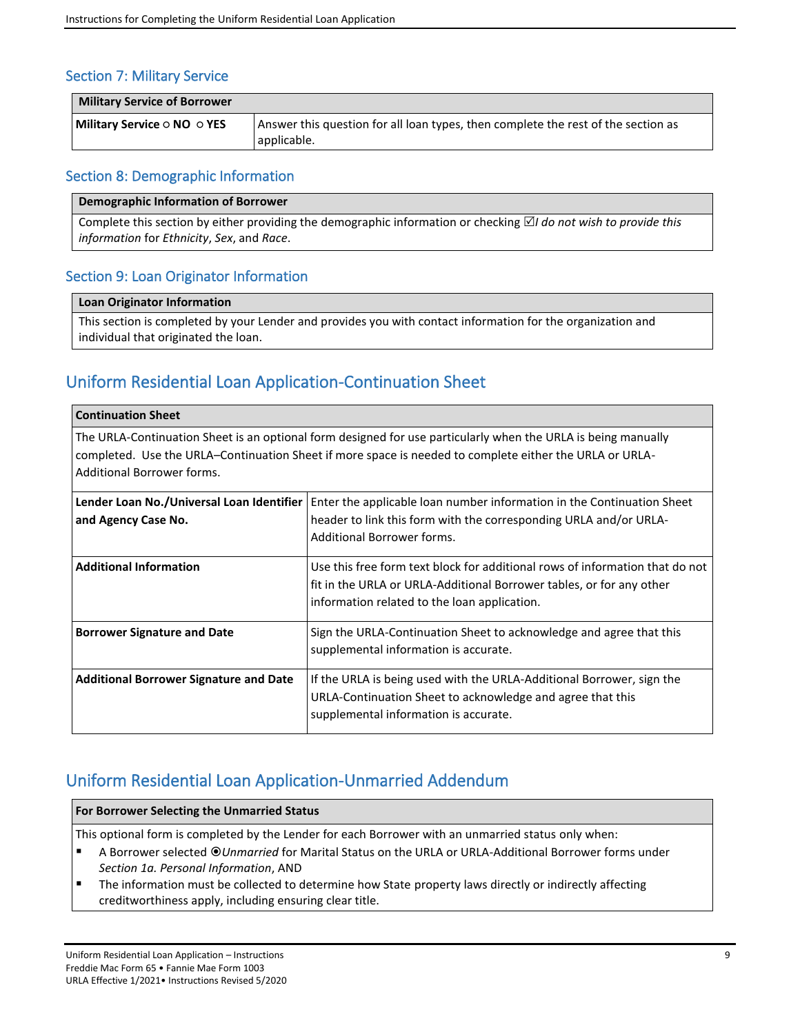## Section 7: Military Service

| <b>Military Service of Borrower</b>     |                                                                                   |
|-----------------------------------------|-----------------------------------------------------------------------------------|
| Military Service $\circ$ NO $\circ$ YES | Answer this question for all loan types, then complete the rest of the section as |
|                                         | applicable.                                                                       |

### Section 8: Demographic Information

### **Demographic Information of Borrower**

Complete this section by either providing the demographic information or checking  $\boxtimes$  *I do not wish to provide this information* for *Ethnicity*, *Sex*, and *Race*.

### Section 9: Loan Originator Information

#### **Loan Originator Information**

This section is completed by your Lender and provides you with contact information for the organization and individual that originated the loan.

# Uniform Residential Loan Application-Continuation Sheet

#### **Continuation Sheet**

The URLA-Continuation Sheet is an optional form designed for use particularly when the URLA is being manually completed. Use the URLA–Continuation Sheet if more space is needed to complete either the URLA or URLA-Additional Borrower forms.

| and Agency Case No.                           | Lender Loan No./Universal Loan Identifier   Enter the applicable loan number information in the Continuation Sheet<br>header to link this form with the corresponding URLA and/or URLA-<br>Additional Borrower forms. |
|-----------------------------------------------|-----------------------------------------------------------------------------------------------------------------------------------------------------------------------------------------------------------------------|
| <b>Additional Information</b>                 | Use this free form text block for additional rows of information that do not<br>fit in the URLA or URLA-Additional Borrower tables, or for any other<br>information related to the loan application.                  |
| <b>Borrower Signature and Date</b>            | Sign the URLA-Continuation Sheet to acknowledge and agree that this<br>supplemental information is accurate.                                                                                                          |
| <b>Additional Borrower Signature and Date</b> | If the URLA is being used with the URLA-Additional Borrower, sign the<br>URLA-Continuation Sheet to acknowledge and agree that this<br>supplemental information is accurate.                                          |

# Uniform Residential Loan Application-Unmarried Addendum

### **For Borrower Selecting the Unmarried Status**

This optional form is completed by the Lender for each Borrower with an unmarried status only when:

- A Borrower selected  *Unmarried* for Marital Status on the URLA or URLA-Additional Borrower forms under *Section 1a. Personal Information*, AND
- The information must be collected to determine how State property laws directly or indirectly affecting creditworthiness apply, including ensuring clear title.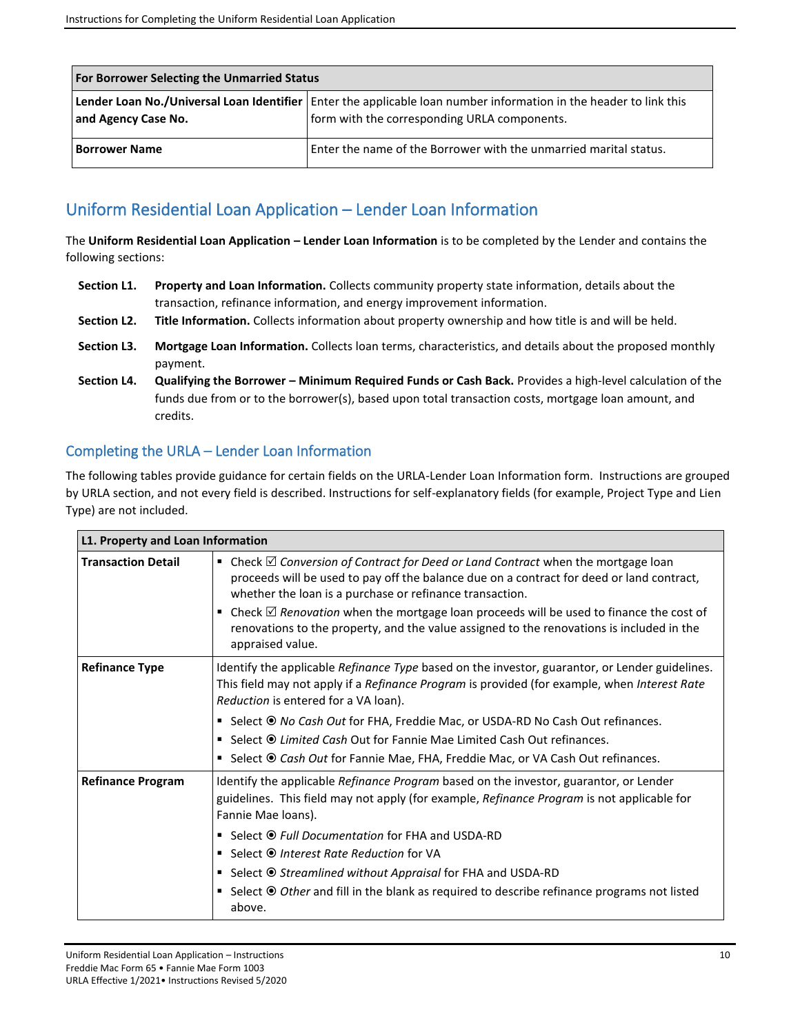| <b>For Borrower Selecting the Unmarried Status</b> |                                                                                                                                                                     |
|----------------------------------------------------|---------------------------------------------------------------------------------------------------------------------------------------------------------------------|
| and Agency Case No.                                | Lender Loan No./Universal Loan Identifier   Enter the applicable loan number information in the header to link this<br>form with the corresponding URLA components. |
| <b>Borrower Name</b>                               | Enter the name of the Borrower with the unmarried marital status.                                                                                                   |

# Uniform Residential Loan Application – Lender Loan Information

The **Uniform Residential Loan Application – Lender Loan Information** is to be completed by the Lender and contains the following sections:

- **Section L1. Property and Loan Information.** Collects community property state information, details about the transaction, refinance information, and energy improvement information.
- **Section L2. Title Information.** Collects information about property ownership and how title is and will be held.
- **Section L3. Mortgage Loan Information.** Collects loan terms, characteristics, and details about the proposed monthly payment.
- **Section L4. Qualifying the Borrower – Minimum Required Funds or Cash Back.** Provides a high-level calculation of the funds due from or to the borrower(s), based upon total transaction costs, mortgage loan amount, and credits.

## Completing the URLA – Lender Loan Information

The following tables provide guidance for certain fields on the URLA-Lender Loan Information form. Instructions are grouped by URLA section, and not every field is described. Instructions for self-explanatory fields (for example, Project Type and Lien Type) are not included.

| L1. Property and Loan Information |                                                                                                                                                                                                                                                                                                                                                                                                                                                                                                                                      |
|-----------------------------------|--------------------------------------------------------------------------------------------------------------------------------------------------------------------------------------------------------------------------------------------------------------------------------------------------------------------------------------------------------------------------------------------------------------------------------------------------------------------------------------------------------------------------------------|
| <b>Transaction Detail</b>         | Check $\boxtimes$ Conversion of Contract for Deed or Land Contract when the mortgage loan<br>٠<br>proceeds will be used to pay off the balance due on a contract for deed or land contract,<br>whether the loan is a purchase or refinance transaction.<br>Check $\boxtimes$ Renovation when the mortgage loan proceeds will be used to finance the cost of<br>٠<br>renovations to the property, and the value assigned to the renovations is included in the<br>appraised value.                                                    |
| <b>Refinance Type</b>             | Identify the applicable Refinance Type based on the investor, guarantor, or Lender guidelines.<br>This field may not apply if a <i>Refinance Program</i> is provided (for example, when <i>Interest Rate</i><br>Reduction is entered for a VA loan).<br>■ Select <sup>●</sup> No Cash Out for FHA, Freddie Mac, or USDA-RD No Cash Out refinances.<br>■ Select <sup>●</sup> Limited Cash Out for Fannie Mae Limited Cash Out refinances.<br>Select <i>O</i> Cash Out for Fannie Mae, FHA, Freddie Mac, or VA Cash Out refinances.    |
| <b>Refinance Program</b>          | Identify the applicable Refinance Program based on the investor, guarantor, or Lender<br>guidelines. This field may not apply (for example, Refinance Program is not applicable for<br>Fannie Mae Ioans).<br>■ Select <sup>●</sup> Full Documentation for FHA and USDA-RD<br>■ Select <sup>●</sup> Interest Rate Reduction for VA<br>■ Select <sup>●</sup> Streamlined without Appraisal for FHA and USDA-RD<br>Select <sup>●</sup> Other and fill in the blank as required to describe refinance programs not listed<br>٠<br>above. |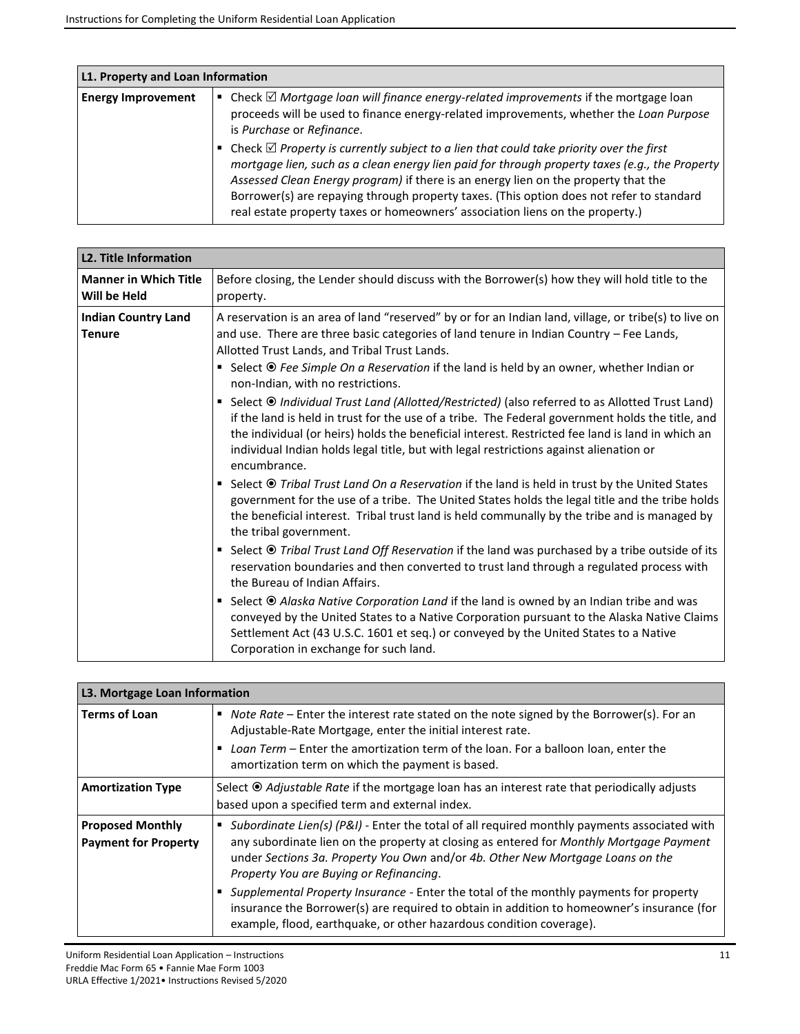| L1. Property and Loan Information |                                                                                                                                                                                                                                                                                                                                                                                                                                                                        |
|-----------------------------------|------------------------------------------------------------------------------------------------------------------------------------------------------------------------------------------------------------------------------------------------------------------------------------------------------------------------------------------------------------------------------------------------------------------------------------------------------------------------|
| <b>Energy Improvement</b>         | Check $\boxtimes$ Mortgage loan will finance energy-related improvements if the mortgage loan<br>proceeds will be used to finance energy-related improvements, whether the Loan Purpose<br>is Purchase or Refinance.                                                                                                                                                                                                                                                   |
|                                   | Check $\boxtimes$ Property is currently subject to a lien that could take priority over the first<br>mortgage lien, such as a clean energy lien paid for through property taxes (e.g., the Property<br>Assessed Clean Energy program) if there is an energy lien on the property that the<br>Borrower(s) are repaying through property taxes. (This option does not refer to standard<br>real estate property taxes or homeowners' association liens on the property.) |

| <b>L2. Title Information</b>                 |                                                                                                                                                                                                                                                                                                                                                                                                                                                                                                                                                                                                                                                                                                                                                                                                                                                                                                                                                                                                                                                                                                                                                                                                                                                                                                                                                                                                                        |
|----------------------------------------------|------------------------------------------------------------------------------------------------------------------------------------------------------------------------------------------------------------------------------------------------------------------------------------------------------------------------------------------------------------------------------------------------------------------------------------------------------------------------------------------------------------------------------------------------------------------------------------------------------------------------------------------------------------------------------------------------------------------------------------------------------------------------------------------------------------------------------------------------------------------------------------------------------------------------------------------------------------------------------------------------------------------------------------------------------------------------------------------------------------------------------------------------------------------------------------------------------------------------------------------------------------------------------------------------------------------------------------------------------------------------------------------------------------------------|
| <b>Manner in Which Title</b><br>Will be Held | Before closing, the Lender should discuss with the Borrower(s) how they will hold title to the<br>property.                                                                                                                                                                                                                                                                                                                                                                                                                                                                                                                                                                                                                                                                                                                                                                                                                                                                                                                                                                                                                                                                                                                                                                                                                                                                                                            |
| <b>Indian Country Land</b><br><b>Tenure</b>  | A reservation is an area of land "reserved" by or for an Indian land, village, or tribe(s) to live on<br>and use. There are three basic categories of land tenure in Indian Country - Fee Lands,<br>Allotted Trust Lands, and Tribal Trust Lands.<br>■ Select <sup>●</sup> Fee Simple On a Reservation if the land is held by an owner, whether Indian or<br>non-Indian, with no restrictions.<br>Select <sup>®</sup> Individual Trust Land (Allotted/Restricted) (also referred to as Allotted Trust Land)<br>if the land is held in trust for the use of a tribe. The Federal government holds the title, and<br>the individual (or heirs) holds the beneficial interest. Restricted fee land is land in which an<br>individual Indian holds legal title, but with legal restrictions against alienation or<br>encumbrance.<br>■ Select <sup>●</sup> Tribal Trust Land On a Reservation if the land is held in trust by the United States<br>government for the use of a tribe. The United States holds the legal title and the tribe holds<br>the beneficial interest. Tribal trust land is held communally by the tribe and is managed by<br>the tribal government.<br>Select <sup>●</sup> Tribal Trust Land Off Reservation if the land was purchased by a tribe outside of its<br>٠<br>reservation boundaries and then converted to trust land through a regulated process with<br>the Bureau of Indian Affairs. |
|                                              | Select <sup>●</sup> Alaska Native Corporation Land if the land is owned by an Indian tribe and was<br>conveyed by the United States to a Native Corporation pursuant to the Alaska Native Claims<br>Settlement Act (43 U.S.C. 1601 et seq.) or conveyed by the United States to a Native<br>Corporation in exchange for such land.                                                                                                                                                                                                                                                                                                                                                                                                                                                                                                                                                                                                                                                                                                                                                                                                                                                                                                                                                                                                                                                                                     |

| L3. Mortgage Loan Information                          |                                                                                                                                                                                                                                                                                                                                                                                                                                                                                                                                                                                     |
|--------------------------------------------------------|-------------------------------------------------------------------------------------------------------------------------------------------------------------------------------------------------------------------------------------------------------------------------------------------------------------------------------------------------------------------------------------------------------------------------------------------------------------------------------------------------------------------------------------------------------------------------------------|
| <b>Terms of Loan</b>                                   | Note Rate – Enter the interest rate stated on the note signed by the Borrower(s). For an<br>٠<br>Adjustable-Rate Mortgage, enter the initial interest rate.<br>Loan Term – Enter the amortization term of the loan. For a balloon loan, enter the<br>amortization term on which the payment is based.                                                                                                                                                                                                                                                                               |
| <b>Amortization Type</b>                               | Select <sup>®</sup> Adjustable Rate if the mortgage loan has an interest rate that periodically adjusts<br>based upon a specified term and external index.                                                                                                                                                                                                                                                                                                                                                                                                                          |
| <b>Proposed Monthly</b><br><b>Payment for Property</b> | Subordinate Lien(s) (P&I) - Enter the total of all required monthly payments associated with<br>any subordinate lien on the property at closing as entered for Monthly Mortgage Payment<br>under Sections 3a. Property You Own and/or 4b. Other New Mortgage Loans on the<br>Property You are Buying or Refinancing.<br>Supplemental Property Insurance - Enter the total of the monthly payments for property<br>insurance the Borrower(s) are required to obtain in addition to homeowner's insurance (for<br>example, flood, earthquake, or other hazardous condition coverage). |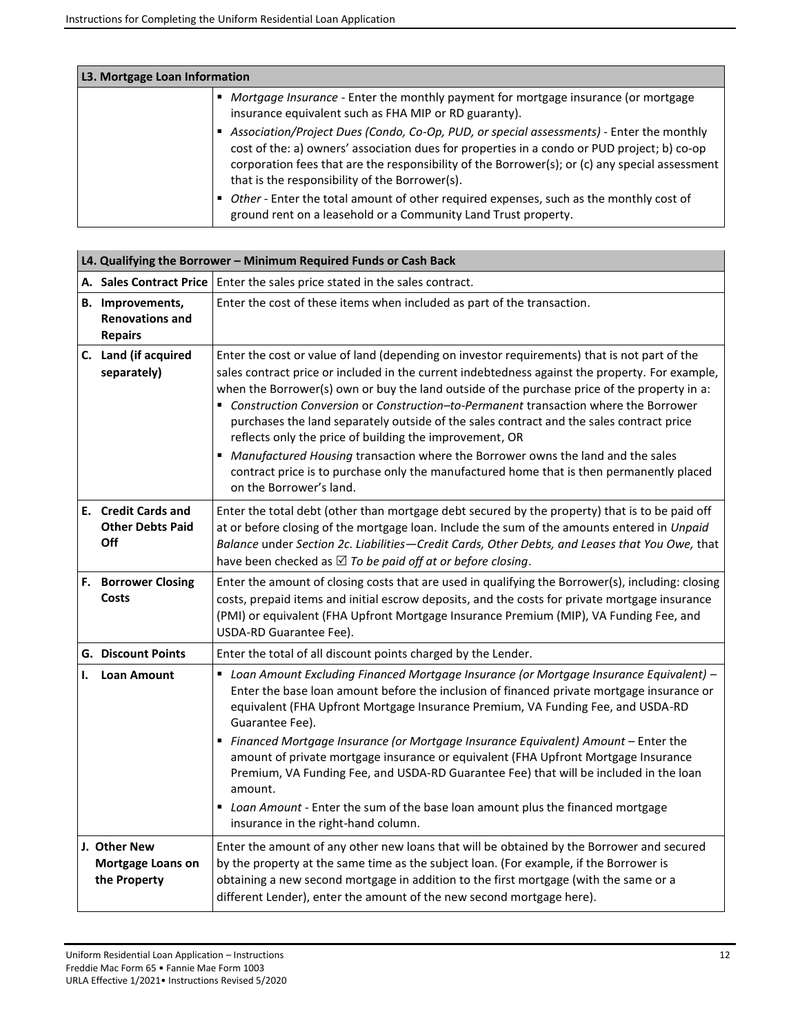| L3. Mortgage Loan Information |                                                                                                                                                                                                                                                                                                                                             |
|-------------------------------|---------------------------------------------------------------------------------------------------------------------------------------------------------------------------------------------------------------------------------------------------------------------------------------------------------------------------------------------|
|                               | Mortgage Insurance - Enter the monthly payment for mortgage insurance (or mortgage<br>insurance equivalent such as FHA MIP or RD guaranty).                                                                                                                                                                                                 |
|                               | Association/Project Dues (Condo, Co-Op, PUD, or special assessments) - Enter the monthly<br>cost of the: a) owners' association dues for properties in a condo or PUD project; b) co-op<br>corporation fees that are the responsibility of the Borrower(s); or (c) any special assessment<br>that is the responsibility of the Borrower(s). |
|                               | Other - Enter the total amount of other required expenses, such as the monthly cost of<br>ground rent on a leasehold or a Community Land Trust property.                                                                                                                                                                                    |

|    | L4. Qualifying the Borrower - Minimum Required Funds or Cash Back   |                                                                                                                                                                                                                                                                                                                                                                                                                                                                                                                                                                                                                                                                                                                                                                |  |  |
|----|---------------------------------------------------------------------|----------------------------------------------------------------------------------------------------------------------------------------------------------------------------------------------------------------------------------------------------------------------------------------------------------------------------------------------------------------------------------------------------------------------------------------------------------------------------------------------------------------------------------------------------------------------------------------------------------------------------------------------------------------------------------------------------------------------------------------------------------------|--|--|
|    |                                                                     | A. Sales Contract Price   Enter the sales price stated in the sales contract.                                                                                                                                                                                                                                                                                                                                                                                                                                                                                                                                                                                                                                                                                  |  |  |
|    | <b>B.</b> Improvements,<br><b>Renovations and</b><br><b>Repairs</b> | Enter the cost of these items when included as part of the transaction.                                                                                                                                                                                                                                                                                                                                                                                                                                                                                                                                                                                                                                                                                        |  |  |
|    | C. Land (if acquired<br>separately)                                 | Enter the cost or value of land (depending on investor requirements) that is not part of the<br>sales contract price or included in the current indebtedness against the property. For example,<br>when the Borrower(s) own or buy the land outside of the purchase price of the property in a:<br>■ Construction Conversion or Construction–to-Permanent transaction where the Borrower<br>purchases the land separately outside of the sales contract and the sales contract price<br>reflects only the price of building the improvement, OR<br>Manufactured Housing transaction where the Borrower owns the land and the sales<br>٠<br>contract price is to purchase only the manufactured home that is then permanently placed<br>on the Borrower's land. |  |  |
|    | <b>E.</b> Credit Cards and<br><b>Other Debts Paid</b><br>Off        | Enter the total debt (other than mortgage debt secured by the property) that is to be paid off<br>at or before closing of the mortgage loan. Include the sum of the amounts entered in Unpaid<br>Balance under Section 2c. Liabilities-Credit Cards, Other Debts, and Leases that You Owe, that<br>have been checked as $\boxtimes$ To be paid off at or before closing.                                                                                                                                                                                                                                                                                                                                                                                       |  |  |
|    | <b>F.</b> Borrower Closing<br>Costs                                 | Enter the amount of closing costs that are used in qualifying the Borrower(s), including: closing<br>costs, prepaid items and initial escrow deposits, and the costs for private mortgage insurance<br>(PMI) or equivalent (FHA Upfront Mortgage Insurance Premium (MIP), VA Funding Fee, and<br>USDA-RD Guarantee Fee).                                                                                                                                                                                                                                                                                                                                                                                                                                       |  |  |
|    | <b>G. Discount Points</b>                                           | Enter the total of all discount points charged by the Lender.                                                                                                                                                                                                                                                                                                                                                                                                                                                                                                                                                                                                                                                                                                  |  |  |
| I. | <b>Loan Amount</b>                                                  | " Loan Amount Excluding Financed Mortgage Insurance (or Mortgage Insurance Equivalent) -<br>Enter the base loan amount before the inclusion of financed private mortgage insurance or<br>equivalent (FHA Upfront Mortgage Insurance Premium, VA Funding Fee, and USDA-RD<br>Guarantee Fee).<br>" Financed Mortgage Insurance (or Mortgage Insurance Equivalent) Amount - Enter the<br>amount of private mortgage insurance or equivalent (FHA Upfront Mortgage Insurance<br>Premium, VA Funding Fee, and USDA-RD Guarantee Fee) that will be included in the loan<br>amount.<br>Loan Amount - Enter the sum of the base loan amount plus the financed mortgage<br>٠<br>insurance in the right-hand column.                                                     |  |  |
|    | J. Other New<br><b>Mortgage Loans on</b><br>the Property            | Enter the amount of any other new loans that will be obtained by the Borrower and secured<br>by the property at the same time as the subject loan. (For example, if the Borrower is<br>obtaining a new second mortgage in addition to the first mortgage (with the same or a<br>different Lender), enter the amount of the new second mortgage here).                                                                                                                                                                                                                                                                                                                                                                                                          |  |  |